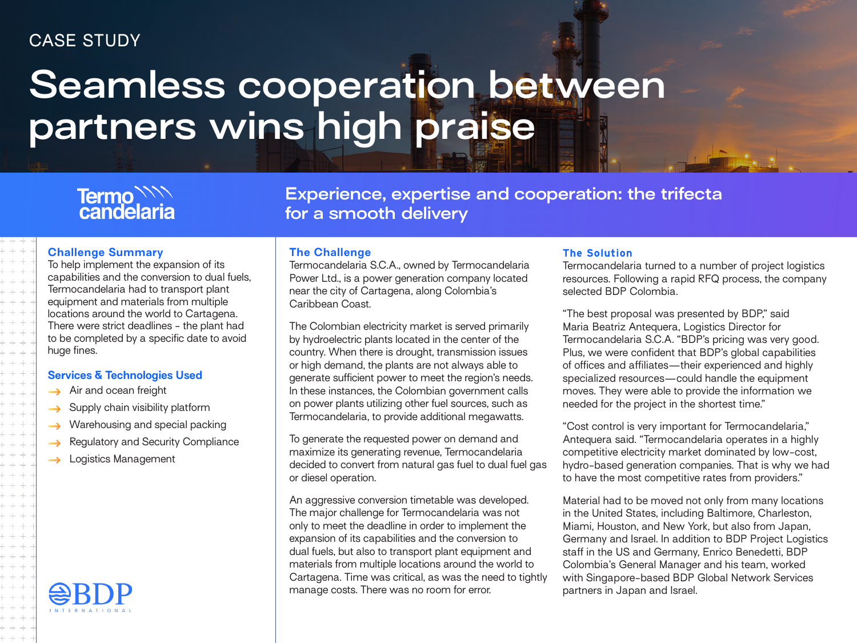### CASE STUDY

# **Seamless cooperation between partners wins high praise**

## Termo<sup>NN</sup>

**Experience, expertise and cooperation: the trifecta for a smooth delivery**

#### **Challenge Summary**

To help implement the expansion of its capabilities and the conversion to dual fuels, Termocandelaria had to transport plant equipment and materials from multiple locations around the world to Cartagena. There were strict deadlines - the plant had to be completed by a specific date to avoid huge fines.

#### **Services & Technologies Used**

- $\rightarrow$  Air and ocean freight
- Supply chain visibility platform  $\rightarrow$
- Warehousing and special packing  $\rightarrow$
- Regulatory and Security Compliance
- Logistics Management  $\rightarrow$

### **The Challenge**

Termocandelaria S.C.A., owned by Termocandelaria Power Ltd., is a power generation company located near the city of Cartagena, along Colombia's Caribbean Coast.

The Colombian electricity market is served primarily by hydroelectric plants located in the center of the country. When there is drought, transmission issues or high demand, the plants are not always able to generate sufficient power to meet the region's needs. In these instances, the Colombian government calls on power plants utilizing other fuel sources, such as Termocandelaria, to provide additional megawatts.

To generate the requested power on demand and maximize its generating revenue, Termocandelaria decided to convert from natural gas fuel to dual fuel gas or diesel operation.

An aggressive conversion timetable was developed. The major challenge for Termocandelaria was not only to meet the deadline in order to implement the expansion of its capabilities and the conversion to dual fuels, but also to transport plant equipment and materials from multiple locations around the world to Cartagena. Time was critical, as was the need to tightly manage costs. There was no room for error.

#### **The Solution**

Termocandelaria turned to a number of project logistics resources. Following a rapid RFQ process, the company selected BDP Colombia.

"The best proposal was presented by BDP," said Maria Beatriz Antequera, Logistics Director for Termocandelaria S.C.A. "BDP's pricing was very good. Plus, we were confident that BDP's global capabilities of offices and affiliates—their experienced and highly specialized resources—could handle the equipment moves. They were able to provide the information we needed for the project in the shortest time."

"Cost control is very important for Termocandelaria," Antequera said. "Termocandelaria operates in a highly competitive electricity market dominated by low-cost, hydro-based generation companies. That is why we had to have the most competitive rates from providers."

Material had to be moved not only from many locations in the United States, including Baltimore, Charleston, Miami, Houston, and New York, but also from Japan, Germany and Israel. In addition to BDP Project Logistics staff in the US and Germany, Enrico Benedetti, BDP Colombia's General Manager and his team, worked with Singapore-based BDP Global Network Services partners in Japan and Israel.